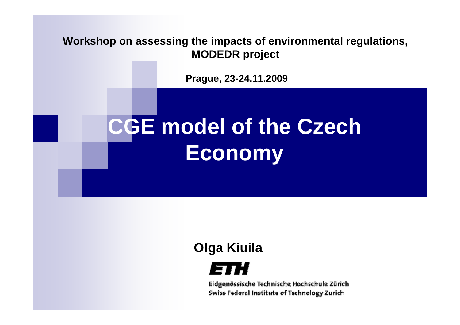**Workshop on assessing the impacts of environmental regulations, MODEDR project**

**Prague, 23-24.11.2009**

# **CGE model of the Czech Economy**

### **Olga Kiuila**



Eidgenössische Technische Hochschule Zürich Swiss Federal Institute of Technology Zurich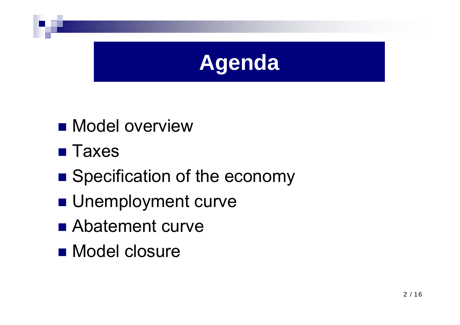

- **Nodel overview**
- **Taxes**
- Specification of the economy
- **Unemployment curve**
- Abatement curve
- Model closure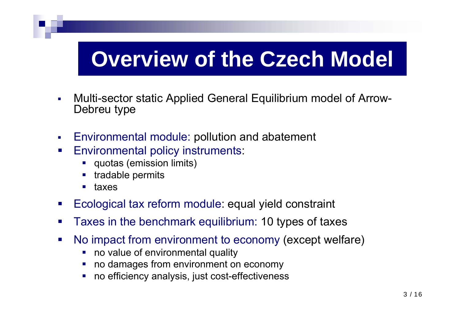## **Overview of the Czech Model**

- $\blacksquare$  Multi-sector static Applied General Equilibrium model of Arrow-Debreu type
- $\mathcal{L}_{\mathcal{A}}$ Environmental module: pollution and abatement
- $\mathcal{L}_{\mathcal{A}}$  Environmental policy instruments:
	- **quotas (emission limits)**
	- tradable permits
	- taxes
- $\mathcal{L}_{\mathcal{A}}$ Ecological tax reform module: equal yield constraint
- $\mathcal{L}_{\mathcal{A}}$ Taxes in the benchmark equilibrium: 10 types of taxes
- $\mathcal{L}_{\mathcal{A}}$  No impact from environment to economy (except welfare)
	- $\mathcal{L}_{\mathcal{A}}$ no value of environmental quality
	- no damages from environment on economy
	- no efficiency analysis, just cost-effectiveness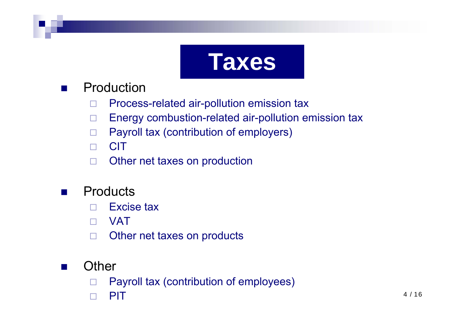

### $\mathbb{R}^2$ Production

- □ Process-related air-pollution emission tax
- $\Box$ Energy combustion-related air-pollution emission tax
- $\Box$ Payroll tax (contribution of employers)
- □ **CIT**
- $\Box$ Other net taxes on production

### $\mathbb{R}^2$ **Products**

- $\Box$ Excise tax
- $\Box$ VAT
- □ Other net taxes on products
- **Other**

 $\mathbb{R}^2$ 

- □ Payroll tax (contribution of employees)
- $\Box$ PIT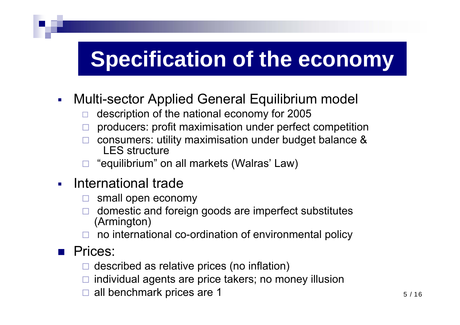## **Specification of the economy**

- $\overline{\mathbb{Z}}$  Multi-sector Applied General Equilibrium model
	- □ description of the national economy for 2005
	- □ producers: profit maximisation under perfect competition
	- □ consumers: utility maximisation under budget balance & LES structure
	- □ "equilibrium" on all markets (Walras' Law)
- $\blacksquare$  International trade
	- □ small open economy
	- □ domestic and foreign goods are imperfect substitutes (Armington)
	- $\Box$  no international co-ordination of environmental policy

### **Prices:**

- $\Box$ described as relative prices (no inflation)
- $\Box$ individual agents are price takers; no money illusion
- $\Box$ all benchmark prices are 1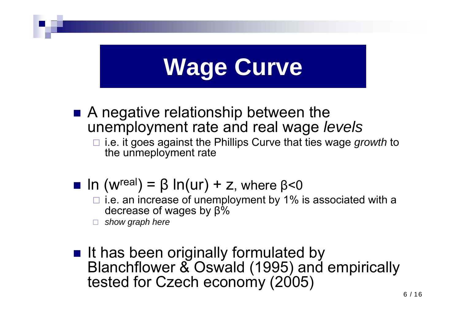# **Wage Curve**

- A negative relationship between the unemployment rate and real wage *levels*
	- i.e. it goes against the Phillips Curve that ties wage *growth* to the unmeployment rate
- $\blacksquare$  In (w<sup>real</sup>) = β In(ur) + z, where β<0
	- $\Box$  i.e. an increase of unemployment by 1% is associated with a decrease of wages by β %
	- $\Box$ *show graph here*
- It has been originally formulated by Blanchflower & Oswald (1995) and empirically tested for Czech economy (2005)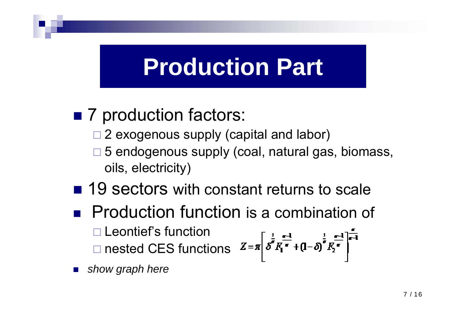## **Production Part**

## ■ 7 production factors:

- □ 2 exogenous supply (capital and labor)
- □ 5 endogenous supply (coal, natural gas, biomass, oils, electricity)
- 19 sectors with constant returns to scale
- **Production function is a combination of** □ Leontief's function □ nested CES functions

T. *show graph here*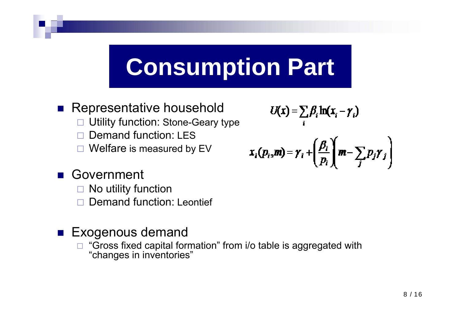# **Consumption Part**

### M. Representative household

- $\Box$ Utility function: Stone-Geary type
- $\Box$ Demand function: LES
- $\Box$ Welfare is measured by EV

Government

- $\Box$ No utility function
- $\Box$ Demand function: Leontief

### **Exogenous demand**

 $\Box$  "Gross fixed capital formation" from i/o table is aggregated with "changes in inventories"

$$
U(\mathbf{x}) = \sum_i \beta_i \ln(x_i - \gamma_i)
$$

$$
x_i(p_i,m) = \gamma_i + \left(\frac{\beta_i}{p_i}\right)\left(m - \sum_j p_j \gamma_j\right)
$$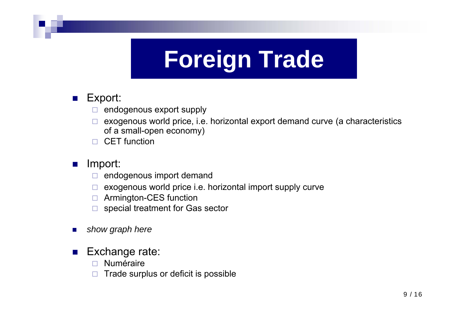# **Foreign Trade**

### $\blacksquare$  Export:

- □ endogenous export supply
- $\Box$  exogenous world price, i.e. horizontal export demand curve (a characteristics of a small-open economy)
- □ CET function

#### P. Import:

- $\Box$ endogenous import demand
- □ exogenous world price i.e. horizontal import supply curve
- Armington-CES function
- $\Box$  special treatment for Gas sector
- ш *show graph here*

#### $\mathcal{L}_{\text{max}}$ Exchange rate:

- □ Numéraire
- $\Box$ Trade surplus or deficit is possible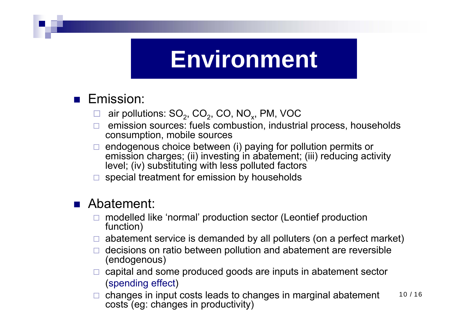## **Environment**

### **Emission:**

- ⊔ air pollutions:  $SO_2$ ,  $CO_2$ ,  $CO$ ,  $NO_x$ , PM, VOC
- $\Box$  emission sources: fuels combustion, industrial process, households consumption, mobile sources
- $\Box$  endogenous choice between (i) paying for pollution permits or emission charges; (ii) investing in abatement; (iii) reducing activity level; (iv) substituting with less polluted factors
- $\Box$ special treatment for emission by households

### ■ Abatement:

- $\Box$  modelled like 'normal' production sector (Leontief production function)
- $\Box$  abatement service is demanded by all polluters (on a perfect market)
- $\Box$  decisions on ratio between pollution and abatement are reversible (endogenous)
- $\Box$  capital and some produced goods are inputs in abatement sector (spending effect)
- 10 / 16 $\Box$  changes in input costs leads to changes in marginal abatement costs (eg: changes in productivity)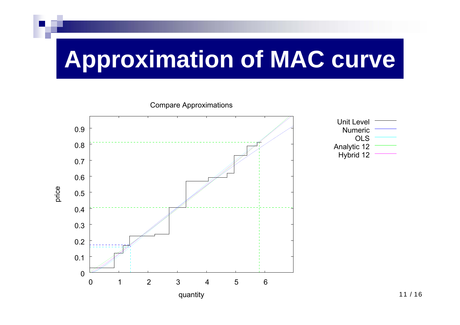# **Approximation of MAC curve**



| Unit Level  |  |
|-------------|--|
| Numeric     |  |
| OLS         |  |
| Analytic 12 |  |
| Hybrid 12   |  |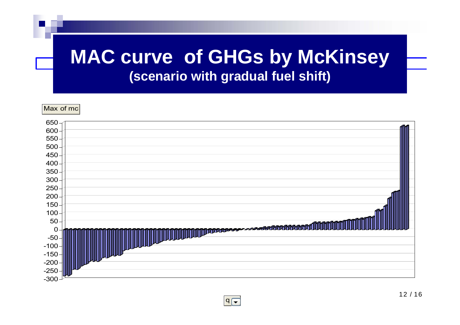## **Marginal abatement cost (scenario with gradual fuel shift)MAC curve of GHGs by McKinsey**

Max of mc

| $650 -$          |                                 |
|------------------|---------------------------------|
| $600 \cdot$      |                                 |
| 550 <sub>1</sub> |                                 |
| 500 <sub>1</sub> |                                 |
| 450              |                                 |
| 400              |                                 |
| $350 -$          |                                 |
| $300 -$          |                                 |
| $250 -$          |                                 |
| 200 <sub>1</sub> |                                 |
| 150              |                                 |
| 100 <sub>1</sub> |                                 |
| 50 <sub>1</sub>  |                                 |
| $\mathbf 0$      | <b>III MARRELLE STATIONALIA</b> |
| $-50$            |                                 |
| $-100$           |                                 |
| $-150$           |                                 |
| $-200$           |                                 |
| $-250$           |                                 |
| $-300$           |                                 |

 $q\vert =$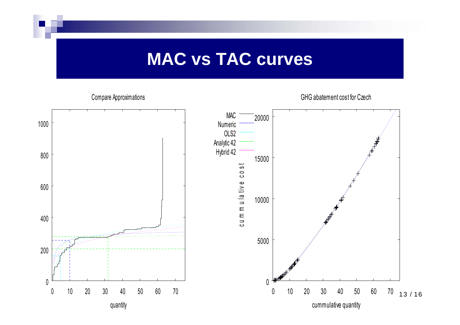## **MAC vs TAC curves**

### Compare Approximations

GHG abatement cost for Czech

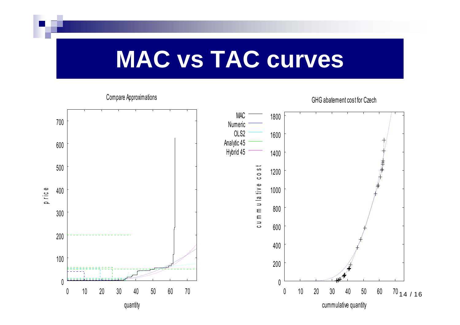## **MAC vs TAC curves**

### Compare Approximations

GHG abatement cost for Czech

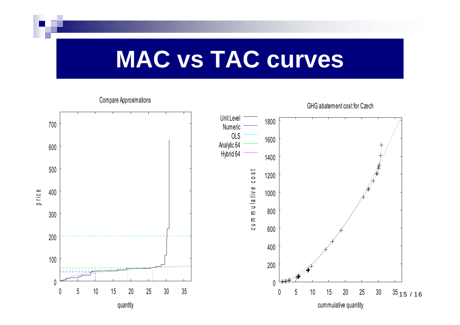## **MAC vs TAC curves**

### Compare Approximations